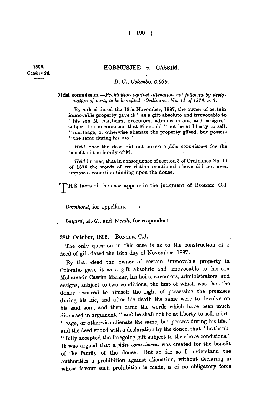## **- HORMUSJEE** *v.* **CASSIM.**

## *D. C, Colombo, 6,600.*

## Fidei commissum-Prohibition against alienation not followed by desig*nation of party to be benefited—Ordinance No. 11 of 1876, s. 3.*

**By a deed dated the 18th November, 1887, the owner of certain immovable property gave it " as a gift absolute and irrevocable to "his son M, his.heirs, executors, administrators, and assigns," subject to the condition that M should " not be at liberty to sell, " mortgage, or otherwise alienate the property gifted, but possess " the same during his life "—** 

*Held,* **that the deed did not create a** *fidei commissum* **for the benefit of the family of M.** 

*Held* **further, that in consequence of section 3 of Ordinance No. 11 of 1876 the words of restriction mentioned above did not even impose a condition binding upon the donee.** 

THE facts of the case appear in the judgment of BONSER, C.J.

*Dornhorst,* **for appellant. <** 

*Layard, A.-Q.,* **and** *Wendt,* **for respondent.** 

**28th October, 1896. BONSER, C.J.—** 

**The only question in this case is as to the construction of a deed of gift dated the 18th day of November,. 1887.** 

**By that deed the owner of certain immovable property in Colombo gave it as a gift absolute and irrevocable to his son Mohamado Cassim Markar, his heirs, executors, administrators, and assigns, subject to two conditions, the first of which was that the donor reserved to himself the right of possessing the premises during his life, and after his death the same were to devolve on his said son; and then came the words which have been much discussed in argument, " and he shall not be at liberty to sell, mbrt- " gage, or otherwise alienate the same, but possess during his life," and the deed ended with a declaration by the donee, that " he thank- " fully accepted the foregoing gift subject to the above conditions." It was argued that a** *fidei commissum* **was created for the benefit of the family of the donee. But so far as I understand the authorities a prohibition against alienation, without declaring in whose favour such prohibition is made, is of no obligatory force** 

**1898** *October 28.*